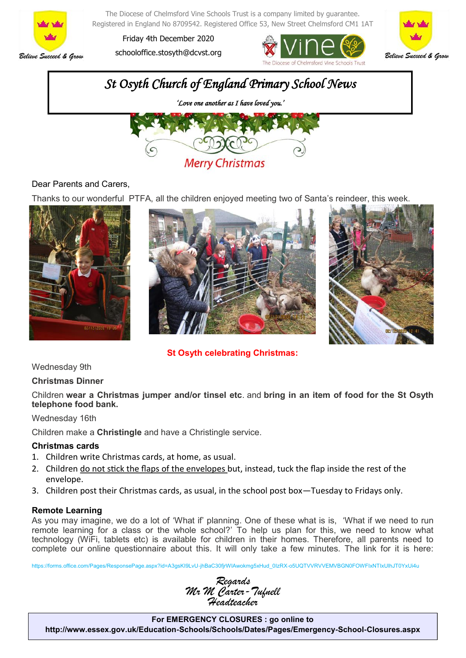

The Diocese of Chelmsford Vine Schools Trust is a company limited by guarantee. Registered in England No 8709542. Registered Office 53, New Street Chelmsford CM1 1AT

Friday 4th December 2020 schooloffice.stosyth@dcvst.org







## Dear Parents and Carers,

Thanks to our wonderful PTFA, all the children enjoyed meeting two of Santa's reindeer, this week.







**St Osyth celebrating Christmas:**

Wednesday 9th

### **Christmas Dinner**

Children **wear a Christmas jumper and/or tinsel etc**. and **bring in an item of food for the St Osyth telephone food bank.**

#### Wednesday 16th

Children make a **Christingle** and have a Christingle service.

### **Christmas cards**

- 1. Children write Christmas cards, at home, as usual.
- 2. Children do not stick the flaps of the envelopes but, instead, tuck the flap inside the rest of the envelope.
- 3. Children post their Christmas cards, as usual, in the school post box—Tuesday to Fridays only.

### **Remote Learning**

As you may imagine, we do a lot of 'What if' planning. One of these what is is, 'What if we need to run remote learning for a class or the whole school?' To help us plan for this, we need to know what technology (WiFi, tablets etc) is available for children in their homes. Therefore, all parents need to complete our online questionnaire about this. It will only take a few minutes. The link for it is here:

https://forms.office.com/Pages/ResponsePage.aspx?id=A3gsKI9LvU-jhBaC30fjrWIAwokmg5xHud\_0IzRX-o5UQTVVRVVEMVBGN0FOWFIxNTIxUlhJT0YxUi4u



**For EMERGENCY CLOSURES : go online to http://www.essex.gov.uk/Education-Schools/Schools/Dates/Pages/Emergency-School-Closures.aspx**